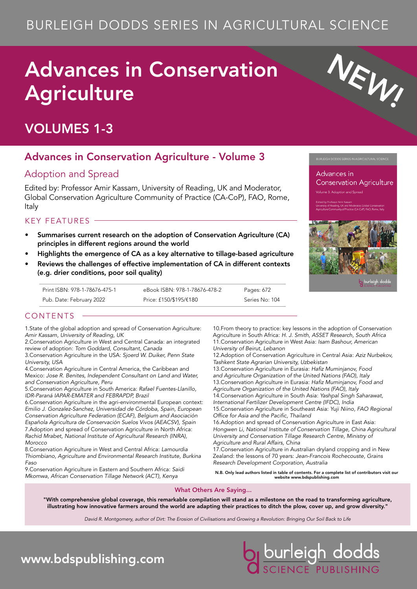# BURLEIGH DODDS SERIES IN AGRICULTURAL SCIENCE

# Advances in Conservation **Agriculture**

# VOLUMES 1-3

## Advances in Conservation Agriculture - Volume 3

### Adoption and Spread

Edited by: Professor Amir Kassam, University of Reading, UK and Moderator, Global Conservation Agriculture Community of Practice (CA-CoP), FAO, Rome, Italy

#### KFY FFATURFS  $-$

- Summarises current research on the adoption of Conservation Agriculture (CA) principles in different regions around the world
- Highlights the emergence of CA as a key alternative to tillage-based agriculture
- Reviews the challenges of effective implementation of CA in different contexts (e.g. drier conditions, poor soil quality)

Print ISBN: 978-1-78676-475-1 eBook ISBN: 978-1-78676-478-2 Pages: 672 Pub. Date: February 2022 Price: £150/\$195/€180 Series No: 104

### CONTENTS

1.State of the global adoption and spread of Conservation Agriculture: *Amir Kassam, University of Reading, UK*

2.Conservation Agriculture in West and Central Canada: an integrated review of adoption: *Tom Goddard, Consultant, Canada*

3.Conservation Agriculture in the USA: *Sjoerd W. Duiker, Penn State University, USA*

4.Conservation Agriculture in Central America, the Caribbean and Mexico: *Jose R. Benites, Independent Consultant on Land and Water, and Conservation Agriculture, Peru*

5.Conservation Agriculture in South America: *Rafael Fuentes-Llanillo, IDR-Paraná IAPAR-EMATER and FEBRAPDP, Brazil*

6.Conservation Agriculture in the agri-environmental European context: *Emilio J. Gonzalez-Sanchez, Universidad de Córdoba, Spain, European Conservation Agriculture Federation (ECAF), Belgium and Asociación Española Agricultura de Conservación Suelos Vivos (AEACSV), Spain* 7.Adoption and spread of Conservation Agriculture in North Africa: *Rachid Mrabet, National Institute of Agricultural Research (INRA), Morocco*

8.Conservation Agriculture in West and Central Africa: *Lamourdia Thiombiano, Agriculture and Environmental Research Institute, Burkina Faso*

9.Conservation Agriculture in Eastern and Southern Africa: *Saidi Mkomwa, African Conservation Tillage Network (ACT), Kenya*

10.From theory to practice: key lessons in the adoption of Conservation Agriculture in South Africa: *H. J. Smith, ASSET Research, South Africa* 11.Conservation Agriculture in West Asia: *Isam Bashour, American University of Beirut, Lebanon*

12.Adoption of Conservation Agriculture in Central Asia: *Aziz Nurbekov, Tashkent State Agrarian University, Uzbekistan*

13.Conservation Agriculture in Eurasia: *Hafiz Muminjanov, Food and Agriculture Organization of the United Nations (FAO), Italy*  13.Conservation Agriculture in Eurasia: *Hafiz Muminjanov, Food and Agriculture Organization of the United Nations (FAO), Italy* 14.Conservation Agriculture in South Asia: *Yashpal Singh Saharawat, International Fertilizer Development Centre (IFDC), India* 15.Conservation Agriculture in Southeast Asia: *Yuji Niino, FAO Regional* 

*Office for Asia and the Pacific, Thailand* 16.Adoption and spread of Conservation Agriculture in East Asia: *Hongwen Li, National Institute of Conservation Tillage, China Agricultural University and Conservation Tillage Research Centre, Ministry of Agriculture and Rural Affairs, China* 

17.Conservation Agriculture in Australian dryland cropping and in New Zealand: the lessons of 70 years: *Jean-Francois Rochecouste, Grains Research Development Corporation, Australia*

N.B. Only lead authors listed in table of contents. For a complete list of contributors visit our website www.bdspublishing.com

#### What Others Are Saying...

"With comprehensive global coverage, this remarkable compilation will stand as a milestone on the road to transforming agriculture, illustrating how innovative farmers around the world are adapting their practices to ditch the plow, cover up, and grow diversity."

*David R. Montgomery, author of Dirt: The Erosion of Civilisations and Growing a Revolution: Bringing Our Soil Back to Life*



# www.bdspublishing.com

NEW!

#### Advances in **Conservation Agriculture** ادار<br>Volume 3: Adoption and Spread